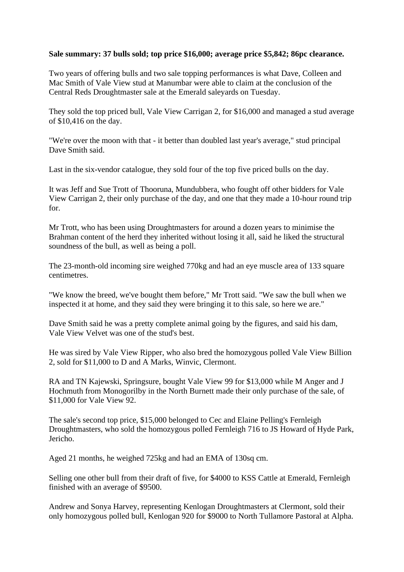## **Sale summary: 37 bulls sold; top price \$16,000; average price \$5,842; 86pc clearance.**

Two years of offering bulls and two sale topping performances is what Dave, Colleen and Mac Smith of Vale View stud at Manumbar were able to claim at the conclusion of the Central Reds Droughtmaster sale at the Emerald saleyards on Tuesday.

They sold the top priced bull, Vale View Carrigan 2, for \$16,000 and managed a stud average of \$10,416 on the day.

"We're over the moon with that - it better than doubled last year's average," stud principal Dave Smith said.

Last in the six-vendor catalogue, they sold four of the top five priced bulls on the day.

It was Jeff and Sue Trott of Thooruna, Mundubbera, who fought off other bidders for Vale View Carrigan 2, their only purchase of the day, and one that they made a 10-hour round trip for.

Mr Trott, who has been using Droughtmasters for around a dozen years to minimise the Brahman content of the herd they inherited without losing it all, said he liked the structural soundness of the bull, as well as being a poll.

The 23-month-old incoming sire weighed 770kg and had an eye muscle area of 133 square centimetres.

"We know the breed, we've bought them before," Mr Trott said. "We saw the bull when we inspected it at home, and they said they were bringing it to this sale, so here we are."

Dave Smith said he was a pretty complete animal going by the figures, and said his dam, Vale View Velvet was one of the stud's best.

He was sired by Vale View Ripper, who also bred the homozygous polled Vale View Billion 2, sold for \$11,000 to D and A Marks, Winvic, Clermont.

RA and TN Kajewski, Springsure, bought Vale View 99 for \$13,000 while M Anger and J Hochmuth from Monogorilby in the North Burnett made their only purchase of the sale, of \$11,000 for Vale View 92.

The sale's second top price, \$15,000 belonged to Cec and Elaine Pelling's Fernleigh Droughtmasters, who sold the homozygous polled Fernleigh 716 to JS Howard of Hyde Park, Jericho.

Aged 21 months, he weighed 725kg and had an EMA of 130sq cm.

Selling one other bull from their draft of five, for \$4000 to KSS Cattle at Emerald, Fernleigh finished with an average of \$9500.

Andrew and Sonya Harvey, representing Kenlogan Droughtmasters at Clermont, sold their only homozygous polled bull, Kenlogan 920 for \$9000 to North Tullamore Pastoral at Alpha.